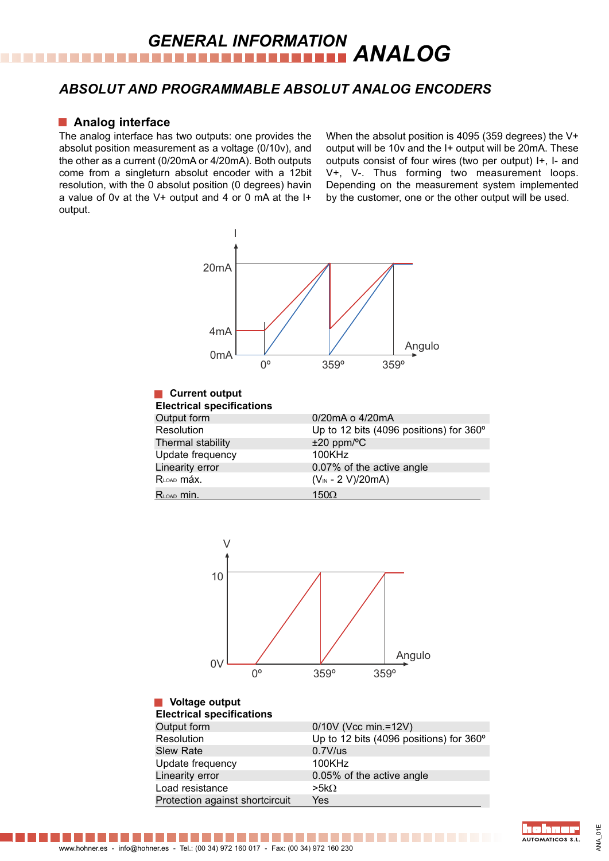## **GENERAL INFORMATION<br>
<b>ANALOG**

#### *ABSOLUT AND PROGRAMMABLE ABSOLUT ANALOG ENCODERS*

#### **Analog interface**

The analog interface has two outputs: one provides the absolut position measurement as a voltage (0/10v), and the other as a current (0/20mA or 4/20mA). Both outputs come from a singleturn absolut encoder with a 12bit resolution, with the 0 absolut position (0 degrees) havin a value of 0v at the V+ output and 4 or 0 mA at the I+ output.

When the absolut position is 4095 (359 degrees) the V+ output will be 10v and the I+ output will be 20mA. These outputs consist of four wires (two per output) I+, I- and V+, V-. Thus forming two measurement loops. Depending on the measurement system implemented by the customer, one or the other output will be used.



#### **Current output Electrical specifications**

| Electrical specifications |                                         |
|---------------------------|-----------------------------------------|
| Output form               | 0/20mA o 4/20mA                         |
| Resolution                | Up to 12 bits (4096 positions) for 360° |
| Thermal stability         | $±20$ ppm/ $°C$                         |
| Update frequency          | 100KHz                                  |
| Linearity error           | 0.07% of the active angle               |
| RLOAD MÁX.                | $(V_{IN} - 2 V)/20mA)$                  |
| $R_{\text{LOAD}}$ min.    | 150 $\Omega$                            |



#### **Voltage output Electrical specifications**

| Electrical specifications       |                                         |
|---------------------------------|-----------------------------------------|
| Output form                     | 0/10V (Vcc min.=12V)                    |
| Resolution                      | Up to 12 bits (4096 positions) for 360° |
| <b>Slew Rate</b>                | $0.7V$ /us                              |
| Update frequency                | 100KHz                                  |
| Linearity error                 | 0.05% of the active angle               |
| Load resistance                 | $>5k\Omega$                             |
| Protection against shortcircuit | Yes                                     |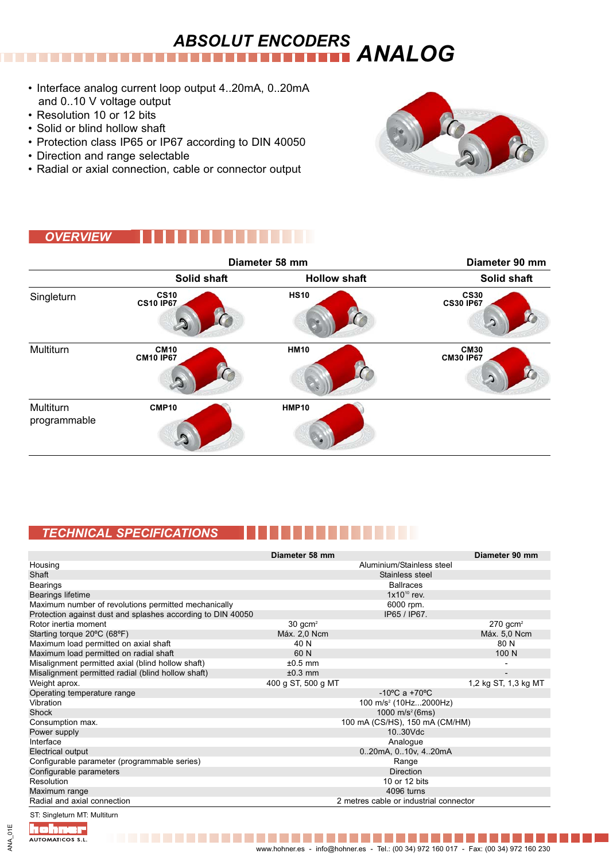# *ANALOG ABSOLUT ENCODERS*

- Interface analog current loop output 4..20mA, 0..20mA and 0..10 V voltage output
- Resolution 10 or 12 bits
- Solid or blind hollow shaft
- Protection class IP65 or IP67 according to DIN 40050
- Direction and range selectable
- Radial or axial connection, cable or connector output



### *OVERVIEW*



### *TECHNICAL SPECIFICATIONS*

|                                                             | Diameter 58 mm     |                                        | Diameter 90 mm               |
|-------------------------------------------------------------|--------------------|----------------------------------------|------------------------------|
| Housing                                                     |                    | Aluminium/Stainless steel              |                              |
| Shaft                                                       |                    | Stainless steel                        |                              |
| <b>Bearings</b>                                             |                    | <b>Ballraces</b>                       |                              |
| Bearings lifetime                                           |                    | $1x10^{10}$ rev.                       |                              |
| Maximum number of revolutions permitted mechanically        |                    | 6000 rpm.                              |                              |
| Protection against dust and splashes according to DIN 40050 |                    | IP65 / IP67.                           |                              |
| Rotor inertia moment                                        | $30 \text{ gcm}^2$ |                                        | $270$ gcm <sup>2</sup>       |
| Starting torque 20°C (68°F)                                 | Máx. 2,0 Ncm       |                                        | Máx. 5,0 Ncm                 |
| Maximum load permitted on axial shaft                       | 40 N               |                                        | 80 N                         |
| Maximum load permitted on radial shaft                      | 60 N               |                                        | 100 N                        |
| Misalignment permitted axial (blind hollow shaft)           | $±0.5$ mm          |                                        |                              |
| Misalignment permitted radial (blind hollow shaft)          | $\pm 0.3$ mm       |                                        | $\qquad \qquad \blacksquare$ |
| Weight aprox.                                               | 400 g ST, 500 g MT |                                        | 1,2 kg ST, 1,3 kg MT         |
| Operating temperature range                                 |                    | $-10^{\circ}$ C a $+70^{\circ}$ C      |                              |
| Vibration                                                   |                    | 100 m/s <sup>2</sup> (10Hz2000Hz)      |                              |
| Shock                                                       |                    | 1000 $m/s^2$ (6ms)                     |                              |
| Consumption max.                                            |                    | 100 mA (CS/HS), 150 mA (CM/HM)         |                              |
| Power supply                                                |                    | 10.30Vdc                               |                              |
| Interface                                                   |                    | Analogue                               |                              |
| Electrical output                                           |                    | 020mA, 010v, 420mA                     |                              |
| Configurable parameter (programmable series)                |                    | Range                                  |                              |
| Configurable parameters                                     |                    | <b>Direction</b>                       |                              |
| Resolution                                                  |                    | 10 or 12 bits                          |                              |
| Maximum range                                               |                    | 4096 turns                             |                              |
| Radial and axial connection                                 |                    | 2 metres cable or industrial connector |                              |
|                                                             |                    |                                        |                              |

**Time** 

ST: Singleturn MT: Multiturn

ichner

AUTOMATICOS S.L.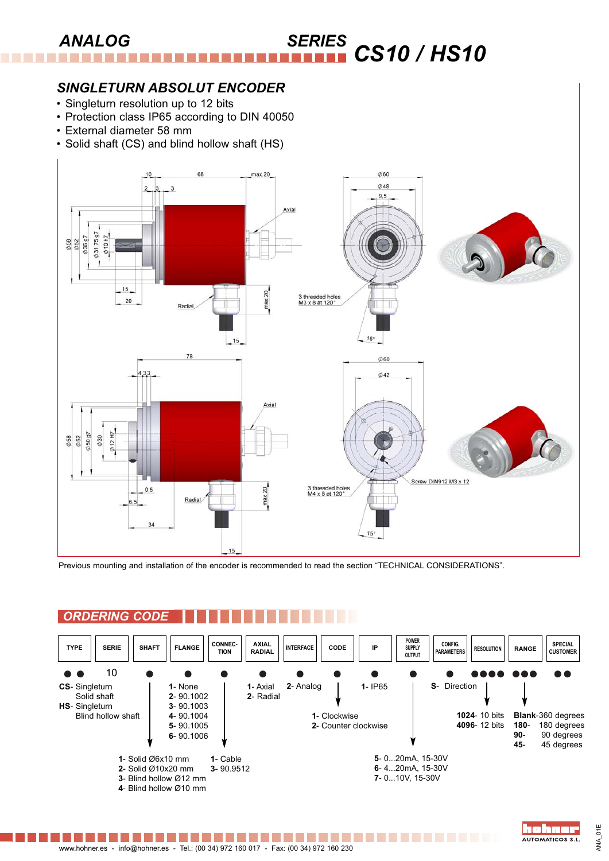#### **ANALOG** *CS10 / HS10* ..........

#### *SINGLETURN ABSOLUT ENCODER*

- Singleturn resolution up to 12 bits
- Protection class IP65 according to DIN 40050
- External diameter 58 mm
- Solid shaft (CS) and blind hollow shaft (HS)



Previous mounting and installation of the encoder is recommended to read the section "TECHNICAL CONSIDERATIONS".

### *ORDERING CODE*

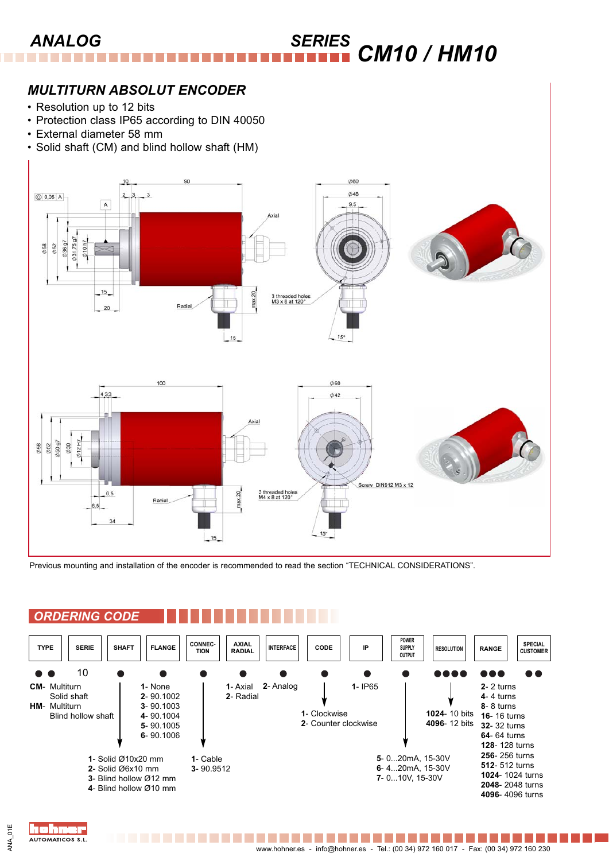#### *ANALOG SERIES CM10 / HM10* ---------

### *MULTITURN ABSOLUT ENCODER*

- Resolution up to 12 bits
- Protection class IP65 according to DIN 40050
- External diameter 58 mm
- Solid shaft (CM) and blind hollow shaft (HM)



Previous mounting and installation of the encoder is recommended to read the section "TECHNICAL CONSIDERATIONS".

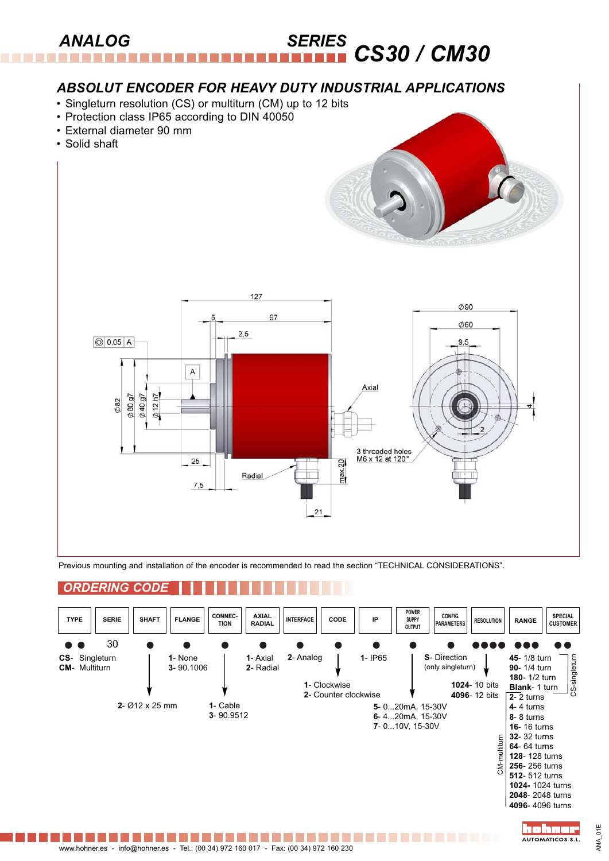#### **SERIES** CS30 / CM30 **ANALOG** ----------

### *ABSOLUT ENCODER FOR HEAVY DUTY INDUSTRIAL APPLICATIONS*

- Singleturn resolution (CS) or multiturn (CM) up to 12 bits
- Protection class IP65 according to DIN 40050
- External diameter 90 mm
- Solid shaft





Previous mounting and installation of the encoder is recommended to read the section "TECHNICAL CONSIDERATIONS".

### *ORDERING CODE*

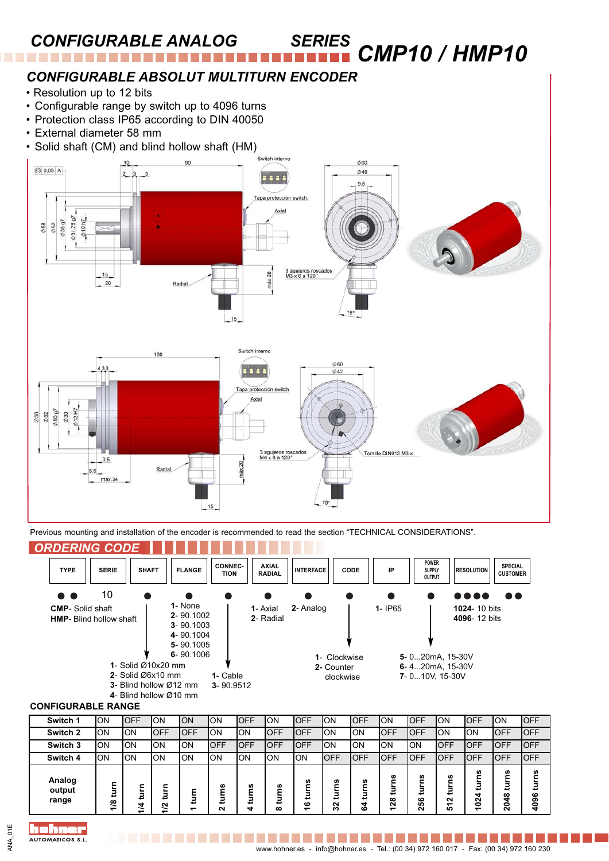### *CONFIGURABLE ANALOG SERIES*

*CMP10 / HMP10* ..................

### *CONFIGURABLE ABSOLUT MULTITURN ENCODER*

- Resolution up to 12 bits
- Configurable range by switch up to 4096 turns
- Protection class IP65 according to DIN 40050
- External diameter 58 mm
- Solid shaft (CM) and blind hollow shaft (HM)



Previous mounting and installation of the encoder is recommended to read the section "TECHNICAL CONSIDERATIONS".



#### **CONFIGURABLE RANGE**

| Switch 1                  | ON                                       | <b>OFF</b>                                   | ION                   | <b>ON</b>  | ON          | <b>IOFF</b> | ION              | <b>IOFF</b>                                  | ΟN                         | <b>OFF</b>          | ON                                      | loff                   | ION                   | <b>OFF</b>                              | ON                                       | <b>OFF</b>       |
|---------------------------|------------------------------------------|----------------------------------------------|-----------------------|------------|-------------|-------------|------------------|----------------------------------------------|----------------------------|---------------------|-----------------------------------------|------------------------|-----------------------|-----------------------------------------|------------------------------------------|------------------|
| Switch 2                  | ON                                       | lon                                          | IOFF                  | <b>OFF</b> | ΟN          | ION         | <b>OFF</b>       | <b>IOFF</b>                                  | ΟN                         | ON                  | <b>OFF</b>                              | loff                   | ION                   | <b>ON</b>                               | IOFF                                     | <b>IOFF</b>      |
| Switch 3                  | ON                                       | lon                                          | ION                   | ΙOΝ        | <b>OFF</b>  | IOFF        | <b>OFF</b>       | <b>IOFF</b>                                  | ΟN                         | ON                  | ON                                      | ION                    | <b>OFF</b>            | <b>IOFF</b>                             | loff                                     | <b>IOFF</b>      |
| Switch 4                  | ON                                       | lon                                          | ION                   | ION        | ON          | ION         | lon              | ION                                          | OFF                        | OFF                 | <b>OFF</b>                              | lOFF                   | IOFF                  | <b>OFF</b>                              | loff                                     | <b>IOFF</b>      |
| Analog<br>output<br>range | -<br>ىپ<br>ల<br>$\overline{\phantom{0}}$ | -<br>−<br>⋥<br>4<br>$\overline{\phantom{0}}$ | ⋾<br>$\sim$<br>~<br>- | Ξ<br>ᅮ     | w<br>⋍<br>ี | w<br>≖      | n<br>c<br>ē<br>ထ | w<br>⋍<br>⋾<br>ဖ<br>$\overline{\phantom{0}}$ | w<br>-<br>►<br>₽<br>ี<br>ო | S<br>turn<br>4<br>ڞ | U)<br>-<br>5<br>≖<br>$\infty$<br>Ñ<br>᠆ | ٤<br>₿<br>56<br>$\sim$ | w<br>ē<br>Ν<br>↽<br>5 | w<br>ⅎ<br>Š<br>$\overline{\phantom{0}}$ | w<br>∞<br>▿<br>Ó<br>$\mathbf{\tilde{c}}$ | n<br>ဖ<br>ၜ<br>Ş |

I in er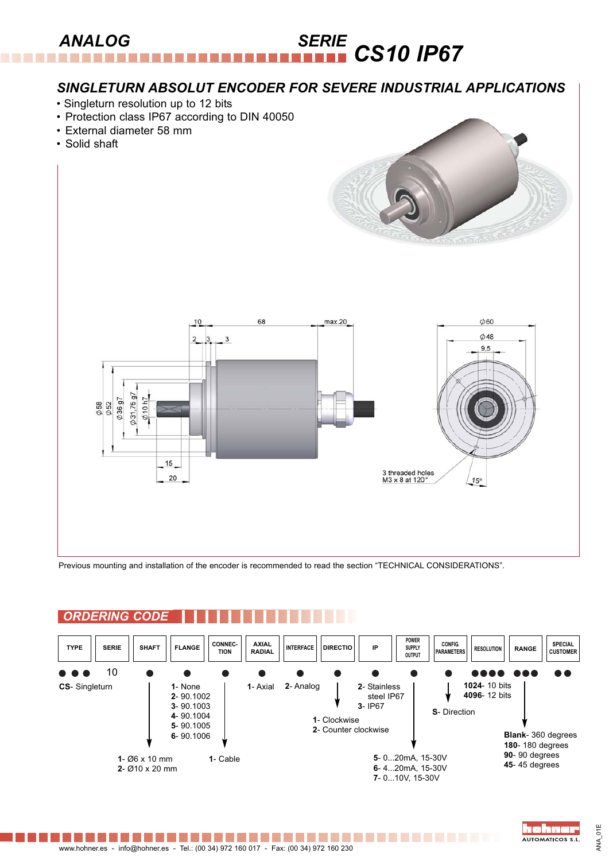#### $ANALOG$ *CS10 IP67* ----------

### *SINGLETURN ABSOLUT ENCODER FOR SEVERE INDUSTRIAL APPLICATIONS*

- Singleturn resolution up to 12 bits
- Protection class IP67 according to DIN 40050
- External diameter 58 mm
- Solid shaft





Previous mounting and installation of the encoder is recommended to read the section "TECHNICAL CONSIDERATIONS".

## *ORDERING CODE*



. . . . . . .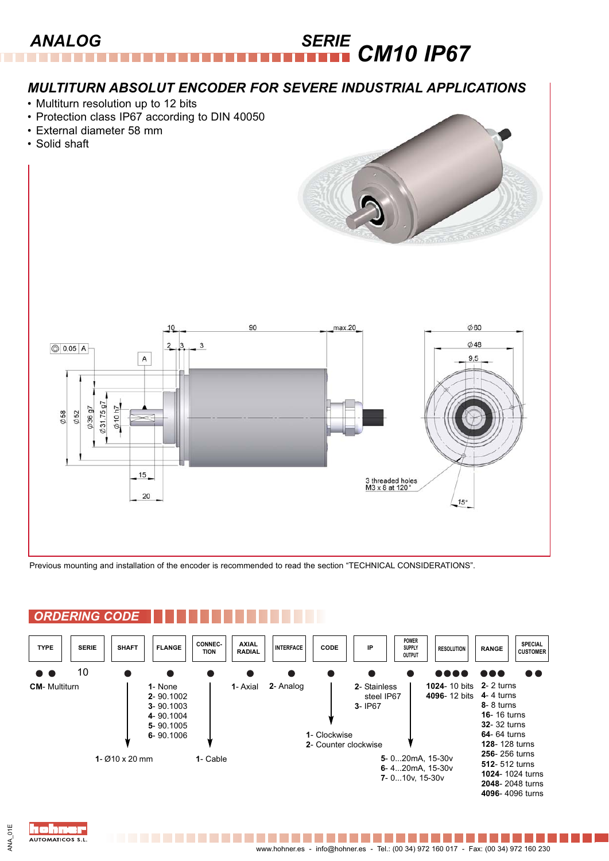#### *ANALOG SERIE CM10 IP67* --------

### *MULTITURN ABSOLUT ENCODER FOR SEVERE INDUSTRIAL APPLICATIONS*

- Multiturn resolution up to 12 bits
- Protection class IP67 according to DIN 40050
- External diameter 58 mm
- Solid shaft





Previous mounting and installation of the encoder is recommended to read the section "TECHNICAL CONSIDERATIONS".

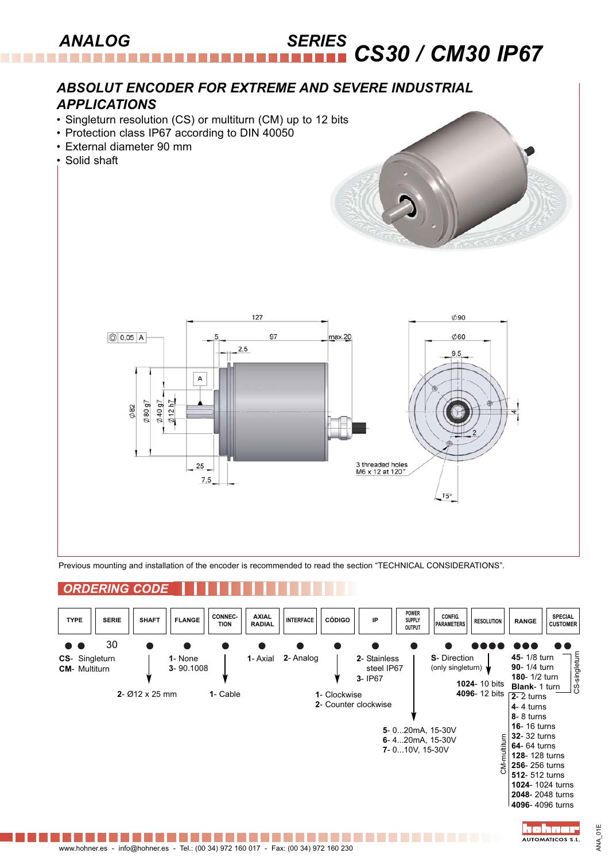#### *ANALOG SERIES CS30 / CM30 IP67* ----------

### *ABSOLUT ENCODER FOR EXTREME AND SEVERE INDUSTRIAL APPLICATIONS*

- Singleturn resolution (CS) or multiturn (CM) up to 12 bits
- Protection class IP67 according to DIN 40050



Previous mounting and installation of the encoder is recommended to read the section "TECHNICAL CONSIDERATIONS".

### *ORDERING CODE*